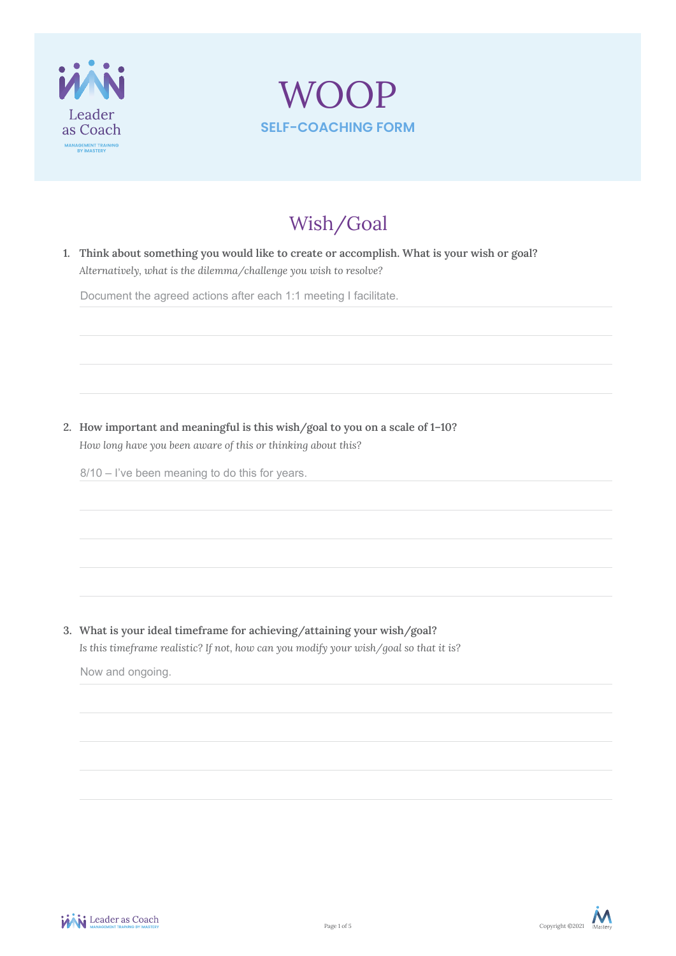



# Wish/Goal

**1. Think about something you would like to create or accomplish. What is your wish or goal?** *Alternatively, what is the dilemma/challenge you wish to resolve?* 

Document the agreed actions after each 1:1 meeting I facilitate.

**2. How important and meaningful is this wish/goal to you on a scale of 1–10?**  *How long have you been aware of this or thinking about this?*

8/10 – I've been meaning to do this for years.

**3. What is your ideal timeframe for achieving/attaining your wish/goal?**  *Is this timeframe realistic? If not, how can you modify your wish/goal so that it is?*

Now and ongoing.

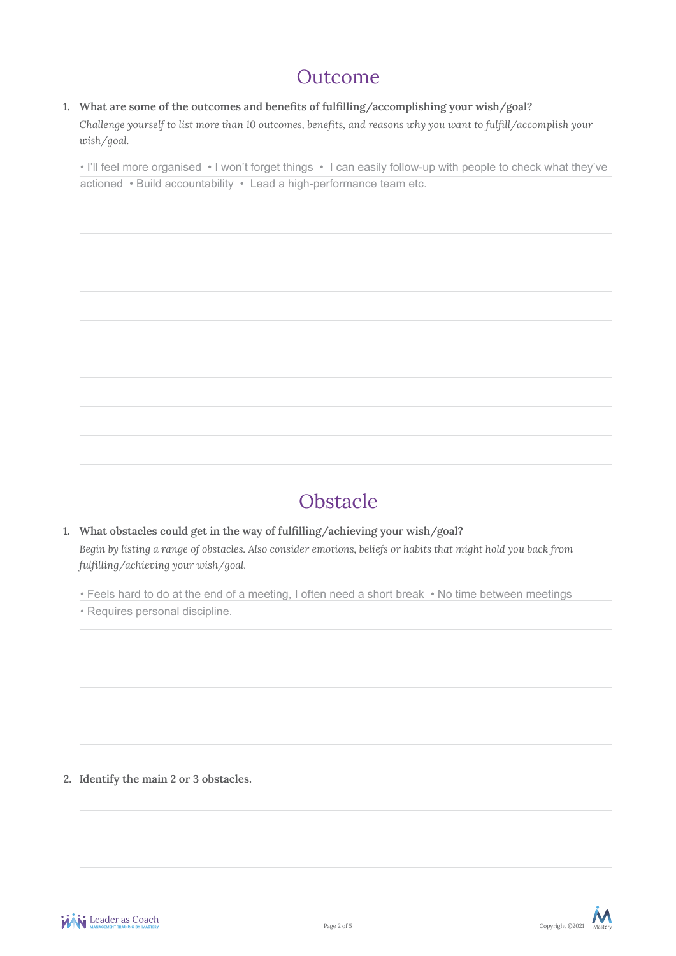## Outcome

### **1. What are some of the outcomes and benefits of fulfilling/accomplishing your wish/goal?**

*Challenge yourself to list more than 10 outcomes, benefits, and reasons why you want to fulfill/accomplish your wish/goal.*

• I'll feel more organised • I won't forget things • I can easily follow-up with people to check what they've actioned • Build accountability • Lead a high-performance team etc.

# Obstacle

- **1. What obstacles could get in the way of fulfilling/achieving your wish/goal?** *Begin by listing a range of obstacles. Also consider emotions, beliefs or habits that might hold you back from fulfilling/achieving your wish/goal.* 
	- Feels hard to do at the end of a meeting, I often need a short break No time between meetings

• Requires personal discipline.

**2. Identify the main 2 or 3 obstacles.** 



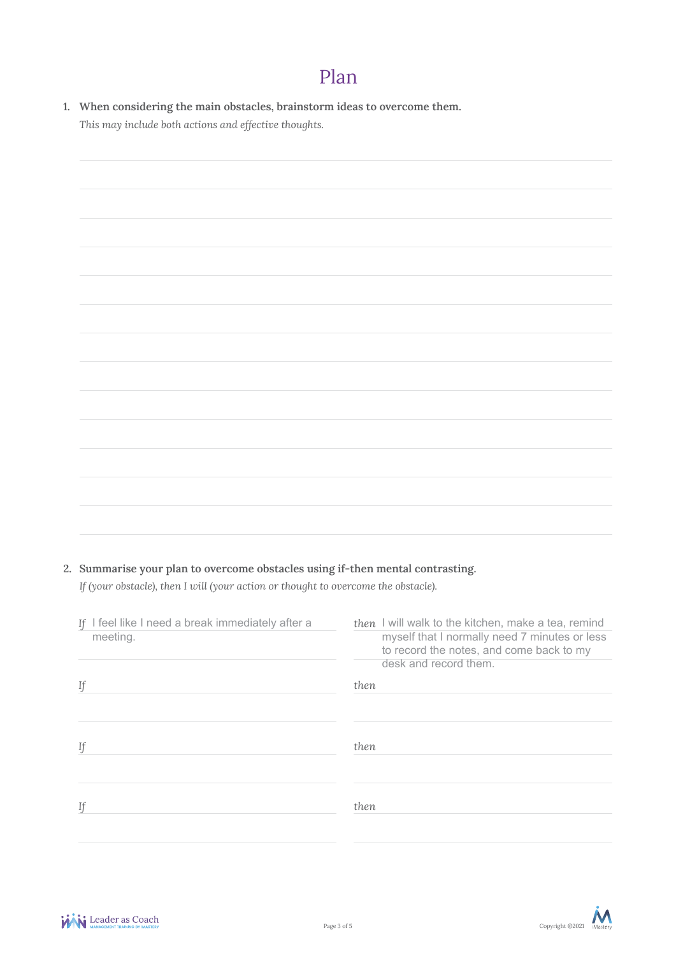# Plan

**1. When considering the main obstacles, brainstorm ideas to overcome them.**  *This may include both actions and effective thoughts.*

### **2. Summarise your plan to overcome obstacles using if-then mental contrasting.**

*If (your obstacle), then I will (your action or thought to overcome the obstacle).*

| then I will walk to the kitchen, make a tea, remind<br>myself that I normally need 7 minutes or less<br>to record the notes, and come back to my<br>desk and record them. |
|---------------------------------------------------------------------------------------------------------------------------------------------------------------------------|
| then                                                                                                                                                                      |
| then                                                                                                                                                                      |
| then                                                                                                                                                                      |
|                                                                                                                                                                           |

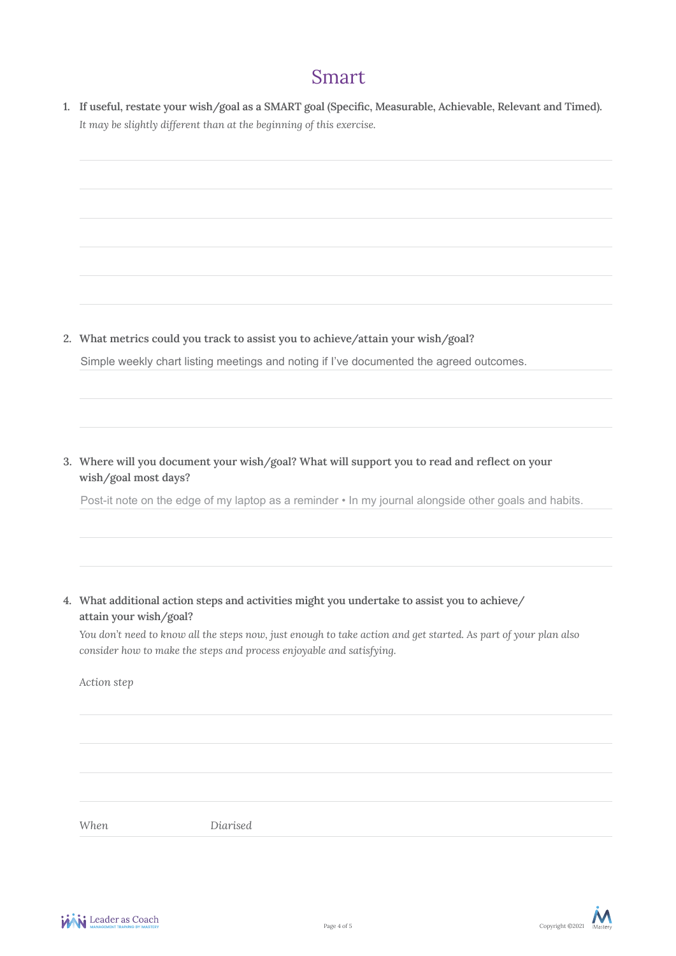## Smart

**1. If useful, restate your wish/goal as a SMART goal (Specific, Measurable, Achievable, Relevant and Timed).** *It may be slightly different than at the beginning of this exercise.* 

**2. What metrics could you track to assist you to achieve/attain your wish/goal?** 

Simple weekly chart listing meetings and noting if I've documented the agreed outcomes.

**3. Where will you document your wish/goal? What will support you to read and reflect on your wish/goal most days?**

Post-it note on the edge of my laptop as a reminder  $\cdot$  In my journal alongside other goals and habits.

**4. What additional action steps and activities might you undertake to assist you to achieve/ attain your wish/goal?**

*You don't need to know all the steps now, just enough to take action and get started. As part of your plan also consider how to make the steps and process enjoyable and satisfying.*

*Action step*

*When Diarised*